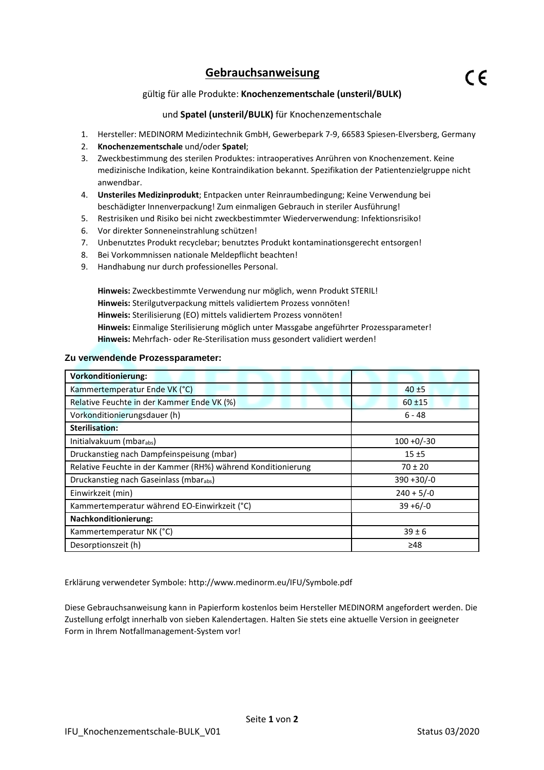## **Gebrauchsanweisung**

### und **Spatel (unsteril/BULK)** für Knochenzementschale

- 1. Hersteller: MEDINORM Medizintechnik GmbH, Gewerbepark 7-9, 66583 Spiesen-Elversberg, Germany
- 2. **Knochenzementschale** und/oder **Spatel**;
- 3. Zweckbestimmung des sterilen Produktes: intraoperatives Anrühren von Knochenzement. Keine medizinische Indikation, keine Kontraindikation bekannt. Spezifikation der Patientenzielgruppe nicht anwendbar.
- 4. **Unsteriles Medizinprodukt**; Entpacken unter Reinraumbedingung; Keine Verwendung bei beschädigter Innenverpackung! Zum einmaligen Gebrauch in steriler Ausführung!
- 5. Restrisiken und Risiko bei nicht zweckbestimmter Wiederverwendung: Infektionsrisiko!
- 6. Vor direkter Sonneneinstrahlung schützen!
- 7. Unbenutztes Produkt recyclebar; benutztes Produkt kontaminationsgerecht entsorgen!
- 8. Bei Vorkommnissen nationale Meldepflicht beachten!
- 9. Handhabung nur durch professionelles Personal.

**Hinweis:** Zweckbestimmte Verwendung nur möglich, wenn Produkt STERIL! **Hinweis:** Sterilgutverpackung mittels validiertem Prozess vonnöten! **Hinweis:** Sterilisierung (EO) mittels validiertem Prozess vonnöten! **Hinweis:** Einmalige Sterilisierung möglich unter Massgabe angeführter Prozessparameter! **Hinweis:** Mehrfach- oder Re-Sterilisation muss gesondert validiert werden!

### **Zu verwendende Prozessparameter:**

| <b>Vorkonditionierung:</b>                                   |               |
|--------------------------------------------------------------|---------------|
| Kammertemperatur Ende VK (°C)                                | $40 + 5$      |
| Relative Feuchte in der Kammer Ende VK (%)                   | $60 + 15$     |
| Vorkonditionierungsdauer (h)                                 | 6 - 48        |
| <b>Sterilisation:</b>                                        |               |
| Initialvakuum (mbarabs)                                      | $100 + 0/-30$ |
| Druckanstieg nach Dampfeinspeisung (mbar)                    | $15 + 5$      |
| Relative Feuchte in der Kammer (RH%) während Konditionierung | $70 \pm 20$   |
| Druckanstieg nach Gaseinlass (mbarabs)                       | $390 + 30/-0$ |
| Einwirkzeit (min)                                            | $240 + 5/-0$  |
| Kammertemperatur während EO-Einwirkzeit (°C)                 | $39 + 6/-0$   |
| <b>Nachkonditionierung:</b>                                  |               |
| Kammertemperatur NK (°C)                                     | $39 \pm 6$    |
| Desorptionszeit (h)                                          | ≥48           |

Erklärung verwendeter Symbole: http://www.medinorm.eu/IFU/Symbole.pdf

Diese Gebrauchsanweisung kann in Papierform kostenlos beim Hersteller MEDINORM angefordert werden. Die Zustellung erfolgt innerhalb von sieben Kalendertagen. Halten Sie stets eine aktuelle Version in geeigneter Form in Ihrem Notfallmanagement-System vor!